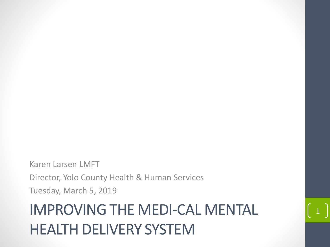Karen Larsen LMFT Director, Yolo County Health & Human Services Tuesday, March 5, 2019

### IMPROVING THE MEDI-CAL MENTAL HEALTH DELIVERY SYSTEM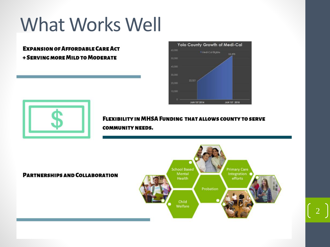# What Works Well

#### **EXPANSION OF AFFORDABLE CARE ACT + SERVING MORE MILD TO MODERATE**



efforts



**FLEXIBILITY IN MHSA FUNDING THAT ALLOWS COUNTY TO SERVE COMMUNITY NEEDS.** 

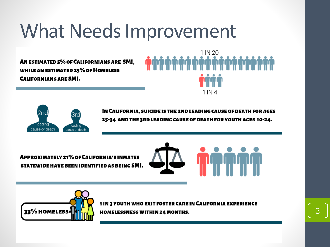## What Needs Improvement

AN ESTIMATED 5% OF CALIFORNIANS ARE SMI, **WHILE AN ESTIMATED 25% OF HOMELESS CALIFORNIANS ARE SMI.** 





IN CALIFORNIA, SUICIDE IS THE 2ND LEADING CAUSE OF DEATH FOR AGES 25-34 AND THE 3RD LEADING CAUSE OF DEATH FOR YOUTH AGES 10-24.

**APPROXIMATELY 21% OF CALIFORNIA'S INMATES** STATEWIDE HAVE BEEN IDENTIFIED AS BEING SMI.



3



1 IN 3 YOUTH WHO EXIT FOSTER CARE IN CALIFORNIA EXPERIENCE HOMELESSNESS WITHIN 24 MONTHS.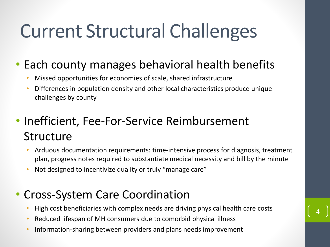# Current Structural Challenges

### • Each county manages behavioral health benefits

- Missed opportunities for economies of scale, shared infrastructure
- Differences in population density and other local characteristics produce unique challenges by county

### • Inefficient, Fee-For-Service Reimbursement **Structure**

- Arduous documentation requirements: time-intensive process for diagnosis, treatment plan, progress notes required to substantiate medical necessity and bill by the minute
- Not designed to incentivize quality or truly "manage care"

#### • Cross-System Care Coordination

• High cost beneficiaries with complex needs are driving physical health care costs

- Reduced lifespan of MH consumers due to comorbid physical illness
- Information-sharing between providers and plans needs improvement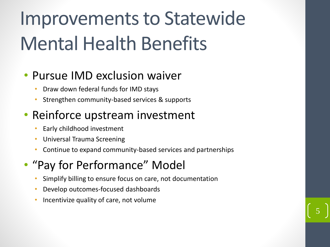# Improvements to Statewide Mental Health Benefits

### • Pursue IMD exclusion waiver

- Draw down federal funds for IMD stays
- Strengthen community-based services & supports

### • Reinforce upstream investment

- Early childhood investment
- Universal Trauma Screening
- Continue to expand community-based services and partnerships

5

### • "Pay for Performance" Model

- Simplify billing to ensure focus on care, not documentation
- Develop outcomes-focused dashboards
- Incentivize quality of care, not volume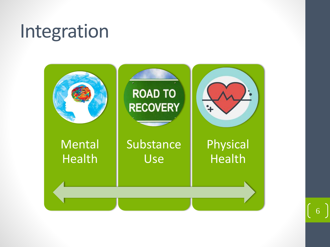# Integration

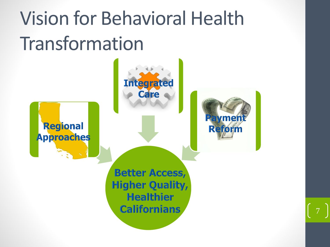# Vision for Behavioral Health Transformation